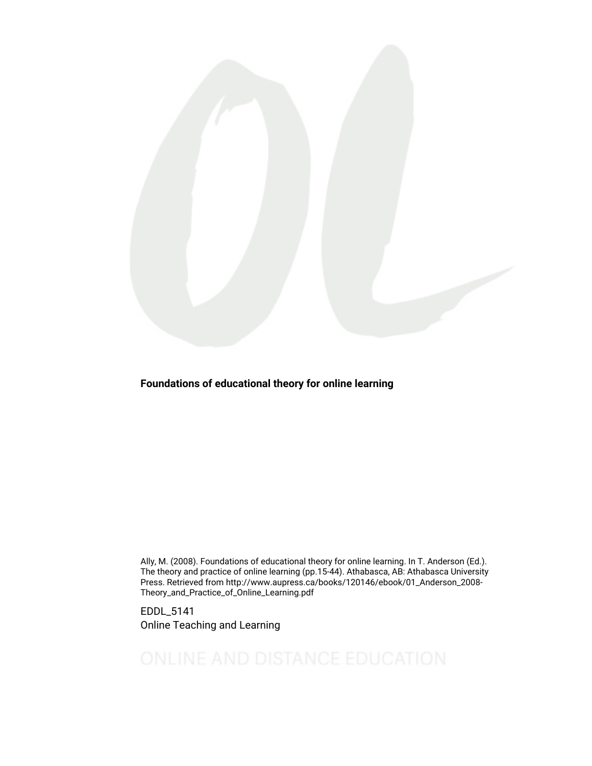

## Foundations of educational theory for online learning

Ally, M. (2008). Foundations of educational theory for online learning. In T. Anderson (Ed.). The theory and practice of online learning (pp.15-44). Athabasca, AB: Athabasca University Press. Retrieved from http://www.aupress.ca/books/120146/ebook/01\_Anderson\_2008- Theory\_and\_Practice\_of\_Online\_Learning.pdf

EDDL\_5141 Online Teaching and Learning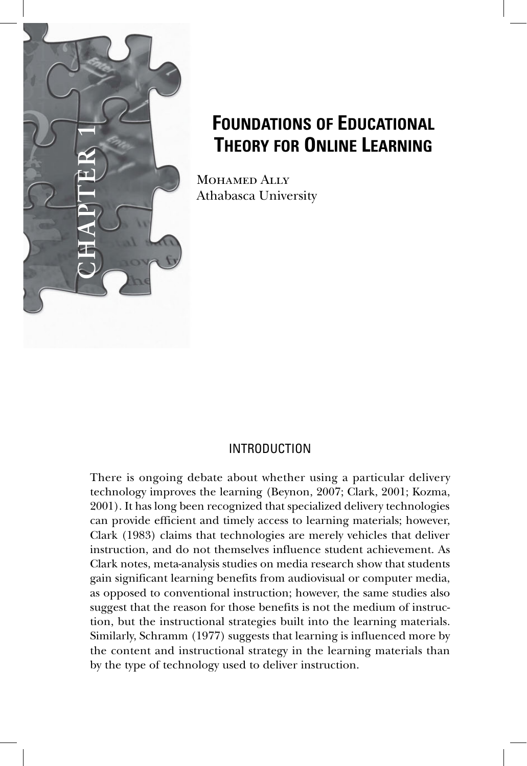

# **Foundations of Educational Theory for Online Learning**

MOHAMED ALLY Athabasca University

# Introduction

There is ongoing debate about whether using a particular delivery technology improves the learning (Beynon, 2007; Clark, 2001; Kozma, 2001). It has long been recognized that specialized delivery technologies can provide efficient and timely access to learning materials; however, Clark (1983) claims that technologies are merely vehicles that deliver instruction, and do not themselves influence student achievement. As Clark notes, meta-analysis studies on media research show that students gain significant learning benefits from audiovisual or computer media, as opposed to conventional instruction; however, the same studies also suggest that the reason for those benefits is not the medium of instruction, but the instructional strategies built into the learning materials. Similarly, Schramm (1977) suggests that learning is influenced more by the content and instructional strategy in the learning materials than by the type of technology used to deliver instruction.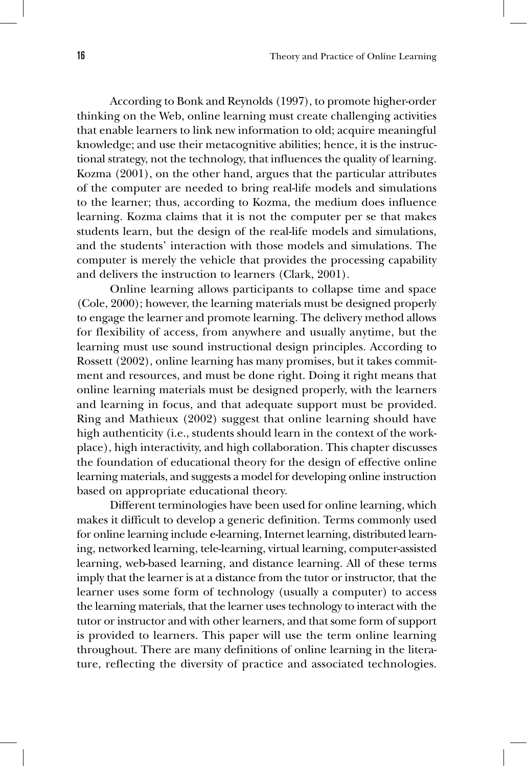According to Bonk and Reynolds (1997), to promote higher-order thinking on the Web, online learning must create challenging activities that enable learners to link new information to old; acquire meaningful knowledge; and use their metacognitive abilities; hence, it is the instructional strategy, not the technology, that influences the quality of learning. Kozma (2001), on the other hand, argues that the particular attributes of the computer are needed to bring real-life models and simulations to the learner; thus, according to Kozma, the medium does influence learning. Kozma claims that it is not the computer per se that makes students learn, but the design of the real-life models and simulations, and the students' interaction with those models and simulations. The computer is merely the vehicle that provides the processing capability and delivers the instruction to learners (Clark, 2001).

Online learning allows participants to collapse time and space (Cole, 2000); however, the learning materials must be designed properly to engage the learner and promote learning. The delivery method allows for flexibility of access, from anywhere and usually anytime, but the learning must use sound instructional design principles. According to Rossett (2002), online learning has many promises, but it takes commitment and resources, and must be done right. Doing it right means that online learning materials must be designed properly, with the learners and learning in focus, and that adequate support must be provided. Ring and Mathieux (2002) suggest that online learning should have high authenticity (i.e., students should learn in the context of the workplace), high interactivity, and high collaboration. This chapter discusses the foundation of educational theory for the design of effective online learning materials, and suggests a model for developing online instruction based on appropriate educational theory.

Different terminologies have been used for online learning, which makes it difficult to develop a generic definition. Terms commonly used for online learning include e-learning, Internet learning, distributed learning, networked learning, tele-learning, virtual learning, computer-assisted learning, web-based learning, and distance learning. All of these terms imply that the learner is at a distance from the tutor or instructor, that the learner uses some form of technology (usually a computer) to access the learning materials, that the learner uses technology to interact with the tutor or instructor and with other learners, and that some form of support is provided to learners. This paper will use the term online learning throughout. There are many definitions of online learning in the literature, reflecting the diversity of practice and associated technologies.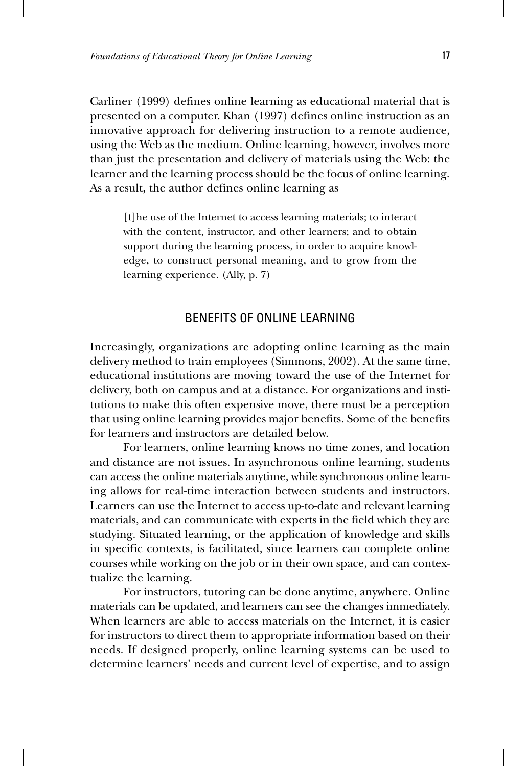Carliner (1999) defines online learning as educational material that is presented on a computer. Khan (1997) defines online instruction as an innovative approach for delivering instruction to a remote audience, using the Web as the medium. Online learning, however, involves more than just the presentation and delivery of materials using the Web: the learner and the learning process should be the focus of online learning. As a result, the author defines online learning as

[t]he use of the Internet to access learning materials; to interact with the content, instructor, and other learners; and to obtain support during the learning process, in order to acquire knowledge, to construct personal meaning, and to grow from the learning experience. (Ally, p. 7)

#### Benefits of Online Learning

Increasingly, organizations are adopting online learning as the main delivery method to train employees (Simmons, 2002). At the same time, educational institutions are moving toward the use of the Internet for delivery, both on campus and at a distance. For organizations and institutions to make this often expensive move, there must be a perception that using online learning provides major benefits. Some of the benefits for learners and instructors are detailed below.

For learners, online learning knows no time zones, and location and distance are not issues. In asynchronous online learning, students can access the online materials anytime, while synchronous online learning allows for real-time interaction between students and instructors. Learners can use the Internet to access up-to-date and relevant learning materials, and can communicate with experts in the field which they are studying. Situated learning, or the application of knowledge and skills in specific contexts, is facilitated, since learners can complete online courses while working on the job or in their own space, and can contextualize the learning.

For instructors, tutoring can be done anytime, anywhere. Online materials can be updated, and learners can see the changes immediately. When learners are able to access materials on the Internet, it is easier for instructors to direct them to appropriate information based on their needs. If designed properly, online learning systems can be used to determine learners' needs and current level of expertise, and to assign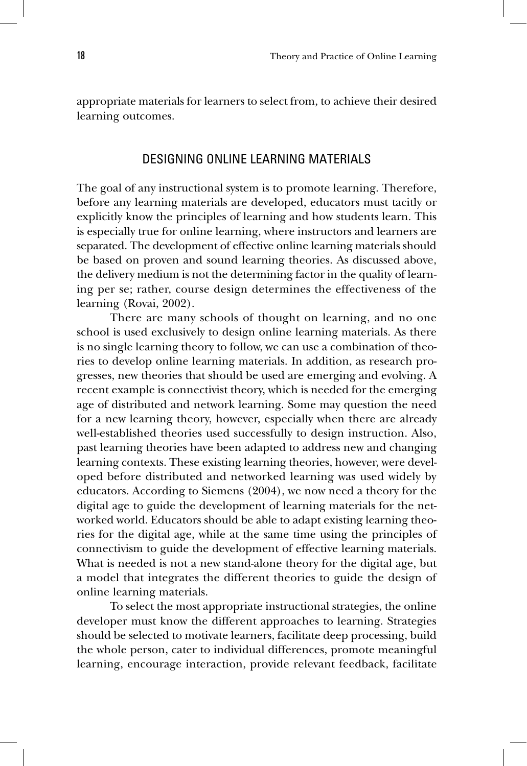appropriate materials for learners to select from, to achieve their desired learning outcomes.

### Designing Online Learning Materials

The goal of any instructional system is to promote learning. Therefore, before any learning materials are developed, educators must tacitly or explicitly know the principles of learning and how students learn. This is especially true for online learning, where instructors and learners are separated. The development of effective online learning materials should be based on proven and sound learning theories. As discussed above, the delivery medium is not the determining factor in the quality of learning per se; rather, course design determines the effectiveness of the learning (Rovai, 2002).

There are many schools of thought on learning, and no one school is used exclusively to design online learning materials. As there is no single learning theory to follow, we can use a combination of theories to develop online learning materials. In addition, as research progresses, new theories that should be used are emerging and evolving. A recent example is connectivist theory, which is needed for the emerging age of distributed and network learning. Some may question the need for a new learning theory, however, especially when there are already well-established theories used successfully to design instruction. Also, past learning theories have been adapted to address new and changing learning contexts. These existing learning theories, however, were developed before distributed and networked learning was used widely by educators. According to Siemens (2004), we now need a theory for the digital age to guide the development of learning materials for the networked world. Educators should be able to adapt existing learning theories for the digital age, while at the same time using the principles of connectivism to guide the development of effective learning materials. What is needed is not a new stand-alone theory for the digital age, but a model that integrates the different theories to guide the design of online learning materials.

To select the most appropriate instructional strategies, the online developer must know the different approaches to learning. Strategies should be selected to motivate learners, facilitate deep processing, build the whole person, cater to individual differences, promote meaningful learning, encourage interaction, provide relevant feedback, facilitate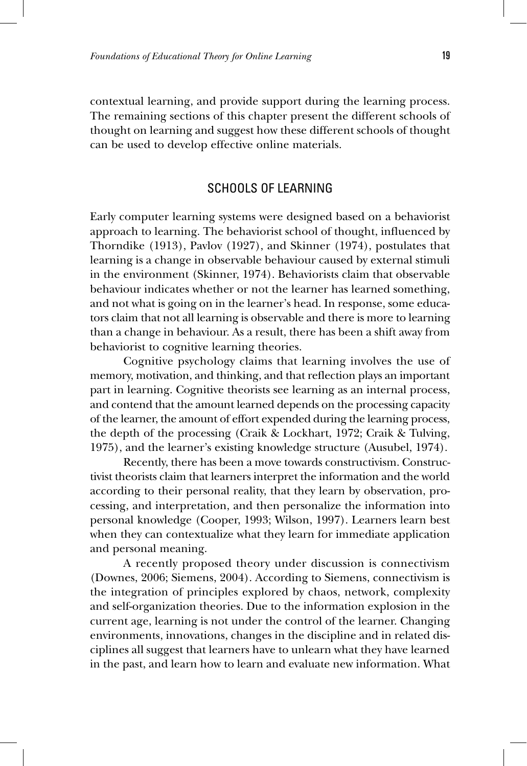contextual learning, and provide support during the learning process. The remaining sections of this chapter present the different schools of thought on learning and suggest how these different schools of thought can be used to develop effective online materials.

#### Schools of Learning

Early computer learning systems were designed based on a behaviorist approach to learning. The behaviorist school of thought, influenced by Thorndike (1913), Pavlov (1927), and Skinner (1974), postulates that learning is a change in observable behaviour caused by external stimuli in the environment (Skinner, 1974). Behaviorists claim that observable behaviour indicates whether or not the learner has learned something, and not what is going on in the learner's head. In response, some educators claim that not all learning is observable and there is more to learning than a change in behaviour. As a result, there has been a shift away from behaviorist to cognitive learning theories.

Cognitive psychology claims that learning involves the use of memory, motivation, and thinking, and that reflection plays an important part in learning. Cognitive theorists see learning as an internal process, and contend that the amount learned depends on the processing capacity of the learner, the amount of effort expended during the learning process, the depth of the processing (Craik & Lockhart, 1972; Craik & Tulving, 1975), and the learner's existing knowledge structure (Ausubel, 1974).

Recently, there has been a move towards constructivism. Constructivist theorists claim that learners interpret the information and the world according to their personal reality, that they learn by observation, processing, and interpretation, and then personalize the information into personal knowledge (Cooper, 1993; Wilson, 1997). Learners learn best when they can contextualize what they learn for immediate application and personal meaning.

A recently proposed theory under discussion is connectivism (Downes, 2006; Siemens, 2004). According to Siemens, connectivism is the integration of principles explored by chaos, network, complexity and self-organization theories. Due to the information explosion in the current age, learning is not under the control of the learner. Changing environments, innovations, changes in the discipline and in related disciplines all suggest that learners have to unlearn what they have learned in the past, and learn how to learn and evaluate new information. What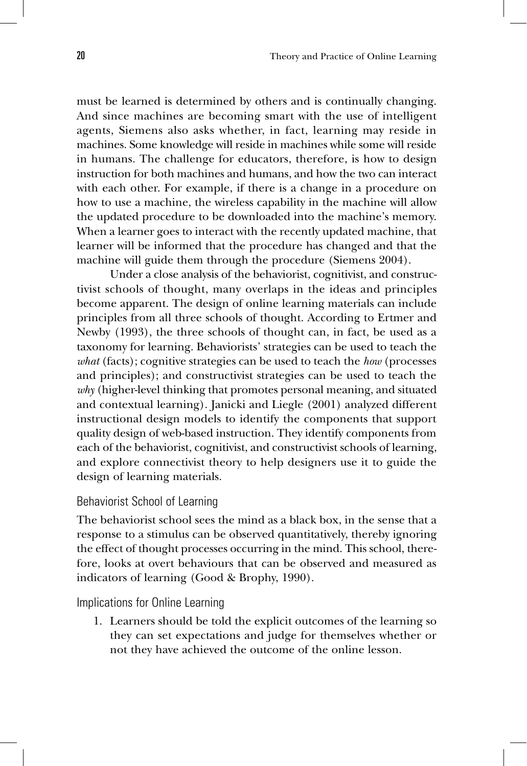must be learned is determined by others and is continually changing. And since machines are becoming smart with the use of intelligent agents, Siemens also asks whether, in fact, learning may reside in machines. Some knowledge will reside in machines while some will reside in humans. The challenge for educators, therefore, is how to design instruction for both machines and humans, and how the two can interact with each other. For example, if there is a change in a procedure on how to use a machine, the wireless capability in the machine will allow the updated procedure to be downloaded into the machine's memory. When a learner goes to interact with the recently updated machine, that learner will be informed that the procedure has changed and that the machine will guide them through the procedure (Siemens 2004).

Under a close analysis of the behaviorist, cognitivist, and constructivist schools of thought, many overlaps in the ideas and principles become apparent. The design of online learning materials can include principles from all three schools of thought. According to Ertmer and Newby (1993), the three schools of thought can, in fact, be used as a taxonomy for learning. Behaviorists' strategies can be used to teach the *what* (facts); cognitive strategies can be used to teach the *how* (processes and principles); and constructivist strategies can be used to teach the *why* (higher-level thinking that promotes personal meaning, and situated and contextual learning). Janicki and Liegle (2001) analyzed different instructional design models to identify the components that support quality design of web-based instruction. They identify components from each of the behaviorist, cognitivist, and constructivist schools of learning, and explore connectivist theory to help designers use it to guide the design of learning materials.

## Behaviorist School of Learning

The behaviorist school sees the mind as a black box, in the sense that a response to a stimulus can be observed quantitatively, thereby ignoring the effect of thought processes occurring in the mind. This school, therefore, looks at overt behaviours that can be observed and measured as indicators of learning (Good & Brophy, 1990).

Implications for Online Learning

1. Learners should be told the explicit outcomes of the learning so they can set expectations and judge for themselves whether or not they have achieved the outcome of the online lesson.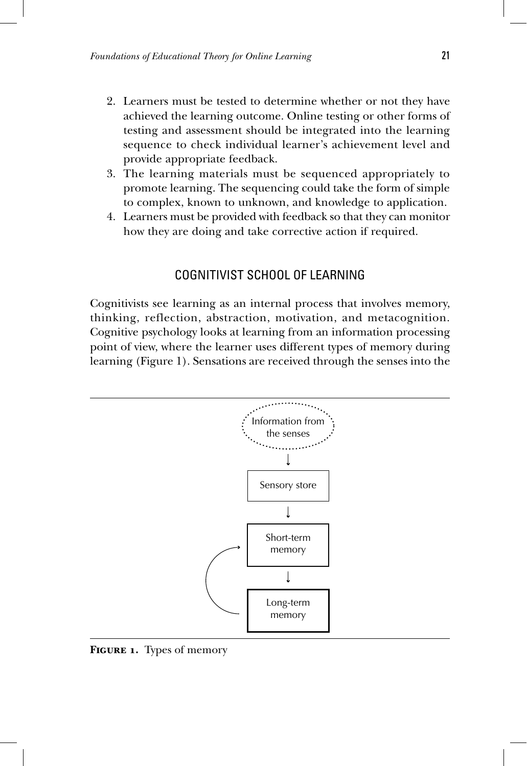- 2. Learners must be tested to determine whether or not they have achieved the learning outcome. Online testing or other forms of testing and assessment should be integrated into the learning sequence to check individual learner's achievement level and provide appropriate feedback.
- 3. The learning materials must be sequenced appropriately to promote learning. The sequencing could take the form of simple to complex, known to unknown, and knowledge to application.
- 4. Learners must be provided with feedback so that they can monitor how they are doing and take corrective action if required.

# Cognitivist School of Learning

Cognitivists see learning as an internal process that involves memory, thinking, reflection, abstraction, motivation, and metacognition. Cognitive psychology looks at learning from an information processing point of view, where the learner uses different types of memory during learning (Figure 1). Sensations are received through the senses into the



FIGURE 1. Types of memory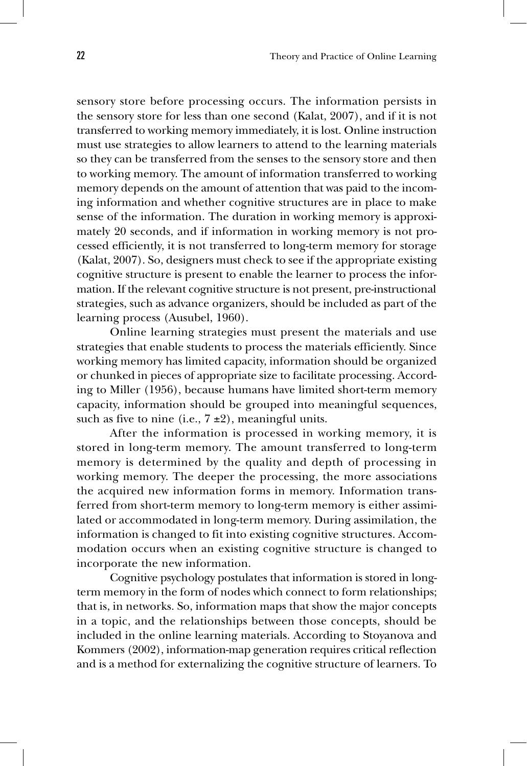sensory store before processing occurs. The information persists in the sensory store for less than one second (Kalat, 2007), and if it is not transferred to working memory immediately, it is lost. Online instruction must use strategies to allow learners to attend to the learning materials so they can be transferred from the senses to the sensory store and then to working memory. The amount of information transferred to working memory depends on the amount of attention that was paid to the incoming information and whether cognitive structures are in place to make sense of the information. The duration in working memory is approximately 20 seconds, and if information in working memory is not processed efficiently, it is not transferred to long-term memory for storage (Kalat, 2007). So, designers must check to see if the appropriate existing cognitive structure is present to enable the learner to process the information. If the relevant cognitive structure is not present, pre-instructional strategies, such as advance organizers, should be included as part of the learning process (Ausubel, 1960).

Online learning strategies must present the materials and use strategies that enable students to process the materials efficiently. Since working memory has limited capacity, information should be organized or chunked in pieces of appropriate size to facilitate processing. According to Miller (1956), because humans have limited short-term memory capacity, information should be grouped into meaningful sequences, such as five to nine (i.e.,  $7 \pm 2$ ), meaningful units.

After the information is processed in working memory, it is stored in long-term memory. The amount transferred to long-term memory is determined by the quality and depth of processing in working memory. The deeper the processing, the more associations the acquired new information forms in memory. Information transferred from short-term memory to long-term memory is either assimilated or accommodated in long-term memory. During assimilation, the information is changed to fit into existing cognitive structures. Accommodation occurs when an existing cognitive structure is changed to incorporate the new information.

Cognitive psychology postulates that information is stored in longterm memory in the form of nodes which connect to form relationships; that is, in networks. So, information maps that show the major concepts in a topic, and the relationships between those concepts, should be included in the online learning materials. According to Stoyanova and Kommers (2002), information-map generation requires critical reflection and is a method for externalizing the cognitive structure of learners. To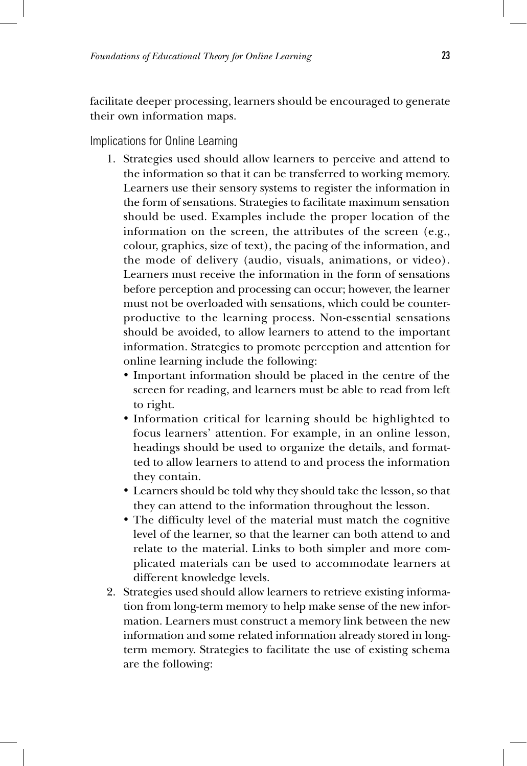facilitate deeper processing, learners should be encouraged to generate their own information maps.

Implications for Online Learning

- 1. Strategies used should allow learners to perceive and attend to the information so that it can be transferred to working memory. Learners use their sensory systems to register the information in the form of sensations. Strategies to facilitate maximum sensation should be used. Examples include the proper location of the information on the screen, the attributes of the screen (e.g., colour, graphics, size of text), the pacing of the information, and the mode of delivery (audio, visuals, animations, or video). Learners must receive the information in the form of sensations before perception and processing can occur; however, the learner must not be overloaded with sensations, which could be counterproductive to the learning process. Non-essential sensations should be avoided, to allow learners to attend to the important information. Strategies to promote perception and attention for online learning include the following:
	- Important information should be placed in the centre of the screen for reading, and learners must be able to read from left to right.
	- Information critical for learning should be highlighted to focus learners' attention. For example, in an online lesson, headings should be used to organize the details, and formatted to allow learners to attend to and process the information they contain.
	- Learners should be told why they should take the lesson, so that they can attend to the information throughout the lesson.
	- The difficulty level of the material must match the cognitive level of the learner, so that the learner can both attend to and relate to the material. Links to both simpler and more complicated materials can be used to accommodate learners at different knowledge levels.
- 2. Strategies used should allow learners to retrieve existing information from long-term memory to help make sense of the new information. Learners must construct a memory link between the new information and some related information already stored in longterm memory. Strategies to facilitate the use of existing schema are the following: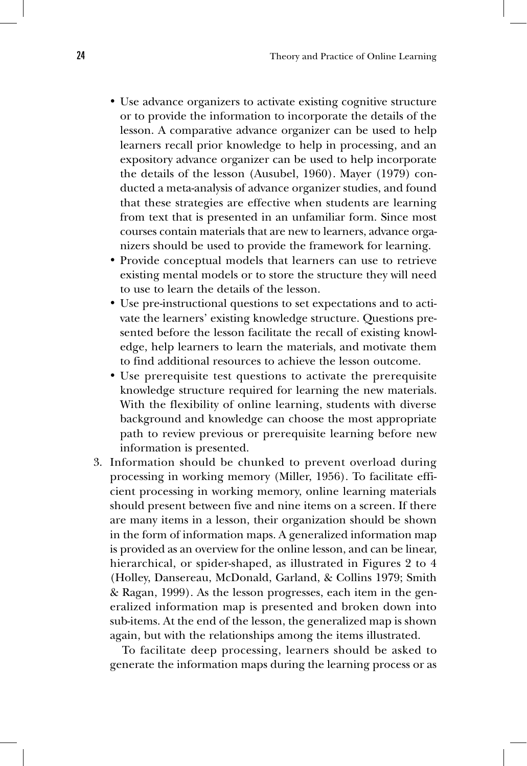- Use advance organizers to activate existing cognitive structure or to provide the information to incorporate the details of the lesson. A comparative advance organizer can be used to help learners recall prior knowledge to help in processing, and an expository advance organizer can be used to help incorporate the details of the lesson (Ausubel, 1960). Mayer (1979) conducted a meta-analysis of advance organizer studies, and found that these strategies are effective when students are learning from text that is presented in an unfamiliar form. Since most courses contain materials that are new to learners, advance organizers should be used to provide the framework for learning.
- Provide conceptual models that learners can use to retrieve existing mental models or to store the structure they will need to use to learn the details of the lesson.
- Use pre-instructional questions to set expectations and to activate the learners' existing knowledge structure. Questions presented before the lesson facilitate the recall of existing knowledge, help learners to learn the materials, and motivate them to find additional resources to achieve the lesson outcome.
- Use prerequisite test questions to activate the prerequisite knowledge structure required for learning the new materials. With the flexibility of online learning, students with diverse background and knowledge can choose the most appropriate path to review previous or prerequisite learning before new information is presented.
- 3. Information should be chunked to prevent overload during processing in working memory (Miller, 1956). To facilitate efficient processing in working memory, online learning materials should present between five and nine items on a screen. If there are many items in a lesson, their organization should be shown in the form of information maps. A generalized information map is provided as an overview for the online lesson, and can be linear, hierarchical, or spider-shaped, as illustrated in Figures 2 to 4 (Holley, Dansereau, McDonald, Garland, & Collins 1979; Smith & Ragan, 1999). As the lesson progresses, each item in the generalized information map is presented and broken down into sub-items. At the end of the lesson, the generalized map is shown again, but with the relationships among the items illustrated.

 To facilitate deep processing, learners should be asked to generate the information maps during the learning process or as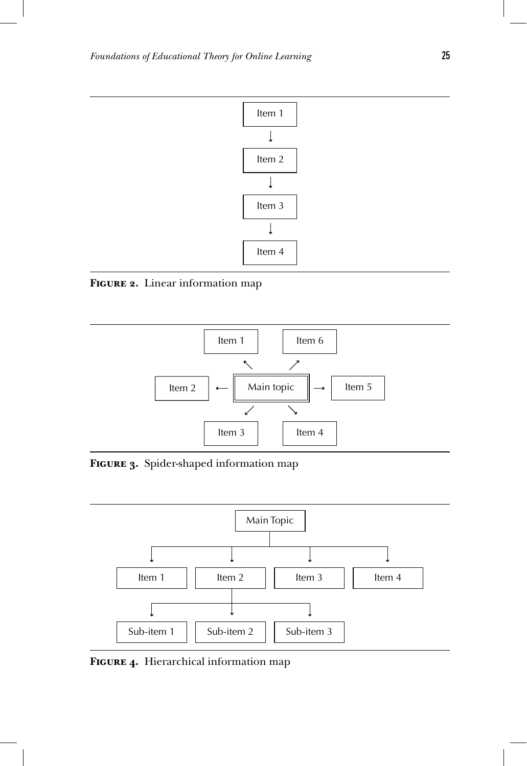

FIGURE 2. Linear information map



**Figure 3.** Spider-shaped information map



**Figure 4.** Hierarchical information map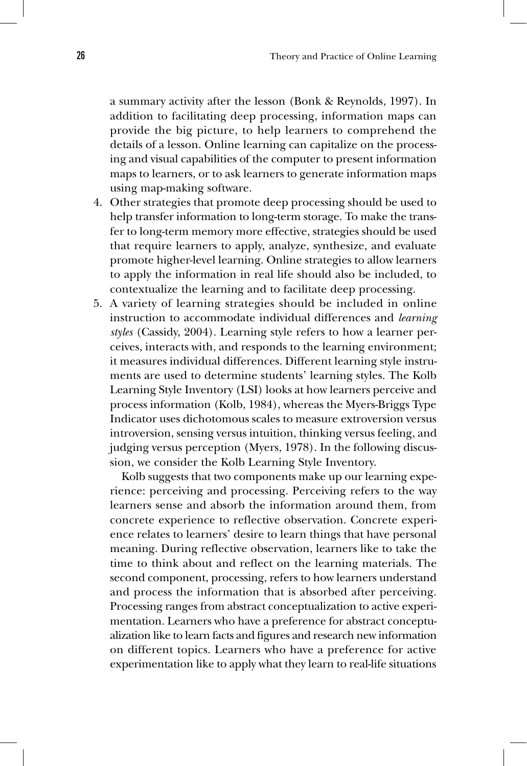a summary activity after the lesson (Bonk & Reynolds, 1997). In addition to facilitating deep processing, information maps can provide the big picture, to help learners to comprehend the details of a lesson. Online learning can capitalize on the processing and visual capabilities of the computer to present information maps to learners, or to ask learners to generate information maps using map-making software.

- 4. Other strategies that promote deep processing should be used to help transfer information to long-term storage. To make the transfer to long-term memory more effective, strategies should be used that require learners to apply, analyze, synthesize, and evaluate promote higher-level learning. Online strategies to allow learners to apply the information in real life should also be included, to contextualize the learning and to facilitate deep processing.
- 5. A variety of learning strategies should be included in online instruction to accommodate individual differences and *learning styles* (Cassidy, 2004). Learning style refers to how a learner perceives, interacts with, and responds to the learning environment; it measures individual differences. Different learning style instruments are used to determine students' learning styles. The Kolb Learning Style Inventory (LSI) looks at how learners perceive and process information (Kolb, 1984), whereas the Myers-Briggs Type Indicator uses dichotomous scales to measure extroversion versus introversion, sensing versus intuition, thinking versus feeling, and judging versus perception (Myers, 1978). In the following discussion, we consider the Kolb Learning Style Inventory.

 Kolb suggests that two components make up our learning experience: perceiving and processing. Perceiving refers to the way learners sense and absorb the information around them, from concrete experience to reflective observation. Concrete experience relates to learners' desire to learn things that have personal meaning. During reflective observation, learners like to take the time to think about and reflect on the learning materials. The second component, processing, refers to how learners understand and process the information that is absorbed after perceiving. Processing ranges from abstract conceptualization to active experimentation. Learners who have a preference for abstract conceptualization like to learn facts and figures and research new information on different topics. Learners who have a preference for active experimentation like to apply what they learn to real-life situations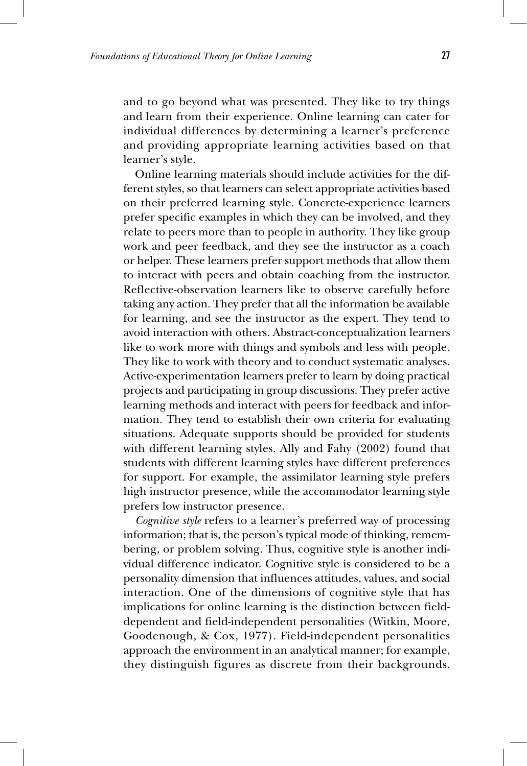and to go beyond what was presented. They like to try things and learn from their experience. Online learning can cater for individual differences by determining a learner's preference and providing appropriate learning activities based on that learner's style.

 Online learning materials should include activities for the different styles, so that learners can select appropriate activities based on their preferred learning style. Concrete-experience learners prefer specific examples in which they can be involved, and they relate to peers more than to people in authority. They like group work and peer feedback, and they see the instructor as a coach or helper. These learners prefer support methods that allow them to interact with peers and obtain coaching from the instructor. Reflective-observation learners like to observe carefully before taking any action. They prefer that all the information be available for learning, and see the instructor as the expert. They tend to avoid interaction with others. Abstract-conceptualization learners like to work more with things and symbols and less with people. They like to work with theory and to conduct systematic analyses. Active-experimentation learners prefer to learn by doing practical projects and participating in group discussions. They prefer active learning methods and interact with peers for feedback and information. They tend to establish their own criteria for evaluating situations. Adequate supports should be provided for students with different learning styles. Ally and Fahy (2002) found that students with different learning styles have different preferences for support. For example, the assimilator learning style prefers high instructor presence, while the accommodator learning style prefers low instructor presence.

 *Cognitive style* refers to a learner's preferred way of processing information; that is, the person's typical mode of thinking, remembering, or problem solving. Thus, cognitive style is another individual difference indicator. Cognitive style is considered to be a personality dimension that influences attitudes, values, and social interaction. One of the dimensions of cognitive style that has implications for online learning is the distinction between fielddependent and field-independent personalities (Witkin, Moore, Goodenough, & Cox, 1977). Field-independent personalities approach the environment in an analytical manner; for example, they distinguish figures as discrete from their backgrounds.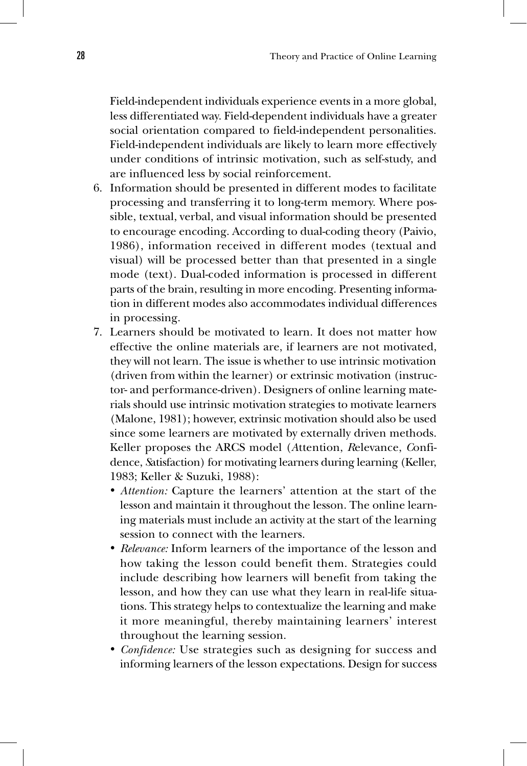Field-independent individuals experience events in a more global, less differentiated way. Field-dependent individuals have a greater social orientation compared to field-independent personalities. Field-independent individuals are likely to learn more effectively under conditions of intrinsic motivation, such as self-study, and are influenced less by social reinforcement.

- 6. Information should be presented in different modes to facilitate processing and transferring it to long-term memory. Where possible, textual, verbal, and visual information should be presented to encourage encoding. According to dual-coding theory (Paivio, 1986), information received in different modes (textual and visual) will be processed better than that presented in a single mode (text). Dual-coded information is processed in different parts of the brain, resulting in more encoding. Presenting information in different modes also accommodates individual differences in processing.
- 7. Learners should be motivated to learn. It does not matter how effective the online materials are, if learners are not motivated, they will not learn. The issue is whether to use intrinsic motivation (driven from within the learner) or extrinsic motivation (instructor- and performance-driven). Designers of online learning materials should use intrinsic motivation strategies to motivate learners (Malone, 1981); however, extrinsic motivation should also be used since some learners are motivated by externally driven methods. Keller proposes the ARCS model (*A*ttention, *R*elevance, *C*onfidence, *S*atisfaction) for motivating learners during learning (Keller, 1983; Keller & Suzuki, 1988):
	- *Attention:* Capture the learners' attention at the start of the lesson and maintain it throughout the lesson. The online learning materials must include an activity at the start of the learning session to connect with the learners.
	- *Relevance:* Inform learners of the importance of the lesson and how taking the lesson could benefit them. Strategies could include describing how learners will benefit from taking the lesson, and how they can use what they learn in real-life situations. This strategy helps to contextualize the learning and make it more meaningful, thereby maintaining learners' interest throughout the learning session.
	- *Confidence:* Use strategies such as designing for success and informing learners of the lesson expectations. Design for success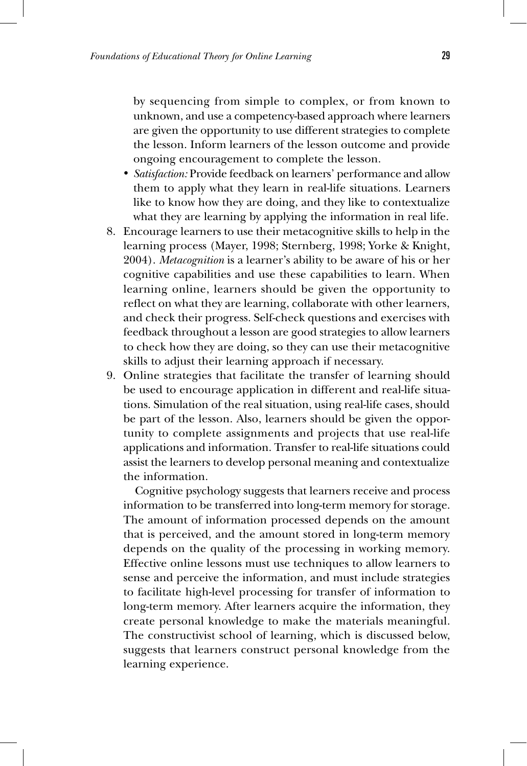by sequencing from simple to complex, or from known to unknown, and use a competency-based approach where learners are given the opportunity to use different strategies to complete the lesson. Inform learners of the lesson outcome and provide ongoing encouragement to complete the lesson.

- *Satisfaction:* Provide feedback on learners' performance and allow them to apply what they learn in real-life situations. Learners like to know how they are doing, and they like to contextualize what they are learning by applying the information in real life.
- 8. Encourage learners to use their metacognitive skills to help in the learning process (Mayer, 1998; Sternberg, 1998; Yorke & Knight, 2004). *Metacognition* is a learner's ability to be aware of his or her cognitive capabilities and use these capabilities to learn. When learning online, learners should be given the opportunity to reflect on what they are learning, collaborate with other learners, and check their progress. Self-check questions and exercises with feedback throughout a lesson are good strategies to allow learners to check how they are doing, so they can use their metacognitive skills to adjust their learning approach if necessary.
- 9. Online strategies that facilitate the transfer of learning should be used to encourage application in different and real-life situations. Simulation of the real situation, using real-life cases, should be part of the lesson. Also, learners should be given the opportunity to complete assignments and projects that use real-life applications and information. Transfer to real-life situations could assist the learners to develop personal meaning and contextualize the information.

 Cognitive psychology suggests that learners receive and process information to be transferred into long-term memory for storage. The amount of information processed depends on the amount that is perceived, and the amount stored in long-term memory depends on the quality of the processing in working memory. Effective online lessons must use techniques to allow learners to sense and perceive the information, and must include strategies to facilitate high-level processing for transfer of information to long-term memory. After learners acquire the information, they create personal knowledge to make the materials meaningful. The constructivist school of learning, which is discussed below, suggests that learners construct personal knowledge from the learning experience.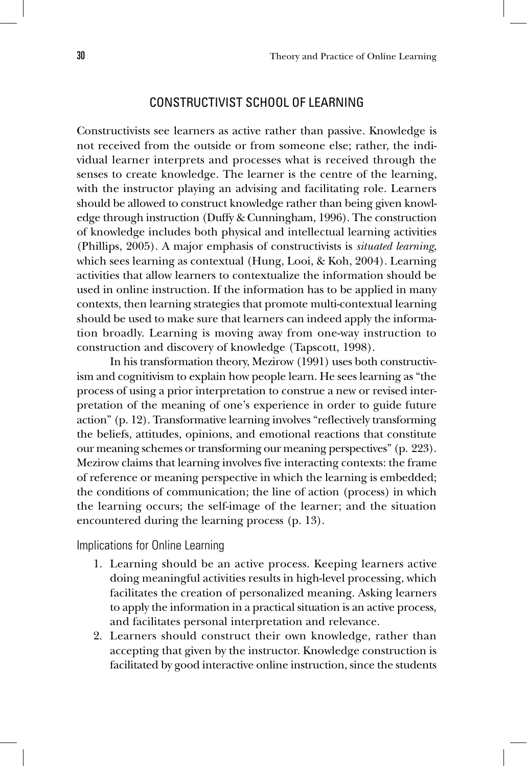## Constructivist School of Learning

Constructivists see learners as active rather than passive. Knowledge is not received from the outside or from someone else; rather, the individual learner interprets and processes what is received through the senses to create knowledge. The learner is the centre of the learning, with the instructor playing an advising and facilitating role. Learners should be allowed to construct knowledge rather than being given knowledge through instruction (Duffy & Cunningham, 1996). The construction of knowledge includes both physical and intellectual learning activities (Phillips, 2005). A major emphasis of constructivists is *situated learning*, which sees learning as contextual (Hung, Looi, & Koh, 2004). Learning activities that allow learners to contextualize the information should be used in online instruction. If the information has to be applied in many contexts, then learning strategies that promote multi-contextual learning should be used to make sure that learners can indeed apply the information broadly. Learning is moving away from one-way instruction to construction and discovery of knowledge (Tapscott, 1998).

In his transformation theory, Mezirow (1991) uses both constructivism and cognitivism to explain how people learn. He sees learning as "the process of using a prior interpretation to construe a new or revised interpretation of the meaning of one's experience in order to guide future action" (p. 12). Transformative learning involves "reflectively transforming the beliefs, attitudes, opinions, and emotional reactions that constitute our meaning schemes or transforming our meaning perspectives" (p. 223). Mezirow claims that learning involves five interacting contexts: the frame of reference or meaning perspective in which the learning is embedded; the conditions of communication; the line of action (process) in which the learning occurs; the self-image of the learner; and the situation encountered during the learning process (p. 13).

Implications for Online Learning

- 1. Learning should be an active process. Keeping learners active doing meaningful activities results in high-level processing, which facilitates the creation of personalized meaning. Asking learners to apply the information in a practical situation is an active process, and facilitates personal interpretation and relevance.
- 2. Learners should construct their own knowledge, rather than accepting that given by the instructor. Knowledge construction is facilitated by good interactive online instruction, since the students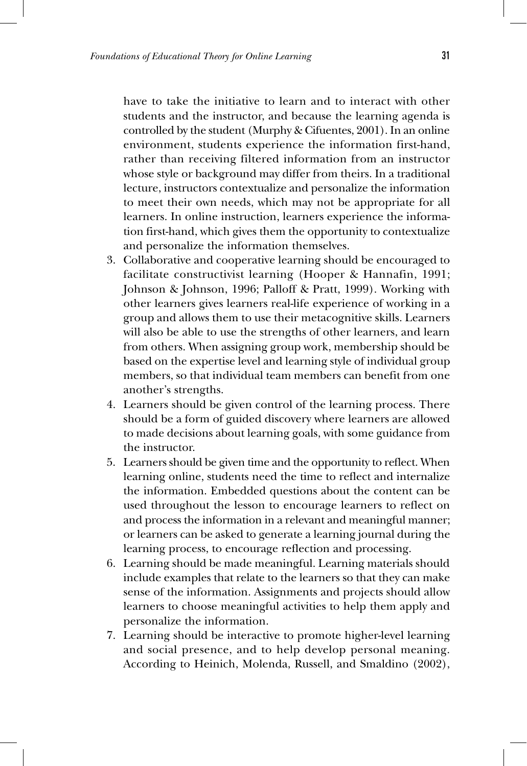have to take the initiative to learn and to interact with other students and the instructor, and because the learning agenda is controlled by the student (Murphy & Cifuentes, 2001). In an online environment, students experience the information first-hand, rather than receiving filtered information from an instructor whose style or background may differ from theirs. In a traditional lecture, instructors contextualize and personalize the information to meet their own needs, which may not be appropriate for all learners. In online instruction, learners experience the information first-hand, which gives them the opportunity to contextualize and personalize the information themselves.

- 3. Collaborative and cooperative learning should be encouraged to facilitate constructivist learning (Hooper & Hannafin, 1991; Johnson & Johnson, 1996; Palloff & Pratt, 1999). Working with other learners gives learners real-life experience of working in a group and allows them to use their metacognitive skills. Learners will also be able to use the strengths of other learners, and learn from others. When assigning group work, membership should be based on the expertise level and learning style of individual group members, so that individual team members can benefit from one another's strengths.
- 4. Learners should be given control of the learning process. There should be a form of guided discovery where learners are allowed to made decisions about learning goals, with some guidance from the instructor.
- 5. Learners should be given time and the opportunity to reflect. When learning online, students need the time to reflect and internalize the information. Embedded questions about the content can be used throughout the lesson to encourage learners to reflect on and process the information in a relevant and meaningful manner; or learners can be asked to generate a learning journal during the learning process, to encourage reflection and processing.
- 6. Learning should be made meaningful. Learning materials should include examples that relate to the learners so that they can make sense of the information. Assignments and projects should allow learners to choose meaningful activities to help them apply and personalize the information.
- 7. Learning should be interactive to promote higher-level learning and social presence, and to help develop personal meaning. According to Heinich, Molenda, Russell, and Smaldino (2002),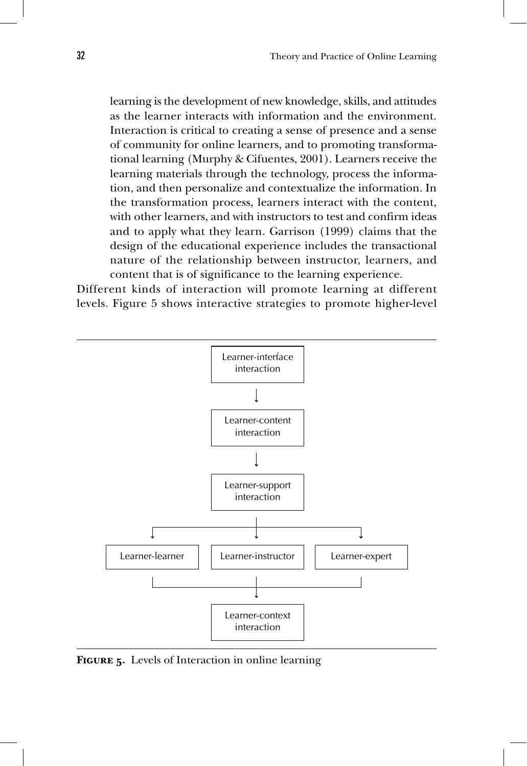learning is the development of new knowledge, skills, and attitudes as the learner interacts with information and the environment. Interaction is critical to creating a sense of presence and a sense of community for online learners, and to promoting transformational learning (Murphy & Cifuentes, 2001). Learners receive the learning materials through the technology, process the information, and then personalize and contextualize the information. In the transformation process, learners interact with the content, with other learners, and with instructors to test and confirm ideas and to apply what they learn. Garrison (1999) claims that the design of the educational experience includes the transactional nature of the relationship between instructor, learners, and content that is of significance to the learning experience.

Different kinds of interaction will promote learning at different levels. Figure 5 shows interactive strategies to promote higher-level



**FIGURE 5.** Levels of Interaction in online learning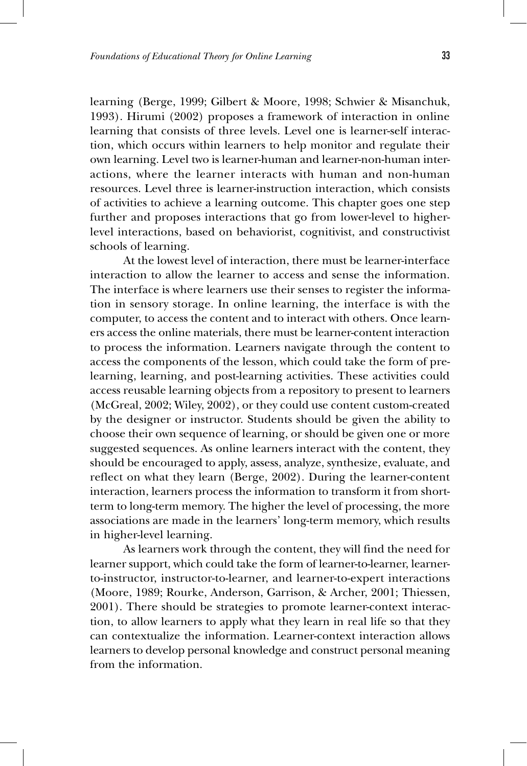learning (Berge, 1999; Gilbert & Moore, 1998; Schwier & Misanchuk, 1993). Hirumi (2002) proposes a framework of interaction in online learning that consists of three levels. Level one is learner-self interaction, which occurs within learners to help monitor and regulate their own learning. Level two is learner-human and learner-non-human interactions, where the learner interacts with human and non-human resources. Level three is learner-instruction interaction, which consists of activities to achieve a learning outcome. This chapter goes one step further and proposes interactions that go from lower-level to higherlevel interactions, based on behaviorist, cognitivist, and constructivist schools of learning.

At the lowest level of interaction, there must be learner-interface interaction to allow the learner to access and sense the information. The interface is where learners use their senses to register the information in sensory storage. In online learning, the interface is with the computer, to access the content and to interact with others. Once learners access the online materials, there must be learner-content interaction to process the information. Learners navigate through the content to access the components of the lesson, which could take the form of prelearning, learning, and post-learning activities. These activities could access reusable learning objects from a repository to present to learners (McGreal, 2002; Wiley, 2002), or they could use content custom-created by the designer or instructor. Students should be given the ability to choose their own sequence of learning, or should be given one or more suggested sequences. As online learners interact with the content, they should be encouraged to apply, assess, analyze, synthesize, evaluate, and reflect on what they learn (Berge, 2002). During the learner-content interaction, learners process the information to transform it from shortterm to long-term memory. The higher the level of processing, the more associations are made in the learners' long-term memory, which results in higher-level learning.

As learners work through the content, they will find the need for learner support, which could take the form of learner-to-learner, learnerto-instructor, instructor-to-learner, and learner-to-expert interactions (Moore, 1989; Rourke, Anderson, Garrison, & Archer, 2001; Thiessen, 2001). There should be strategies to promote learner-context interaction, to allow learners to apply what they learn in real life so that they can contextualize the information. Learner-context interaction allows learners to develop personal knowledge and construct personal meaning from the information.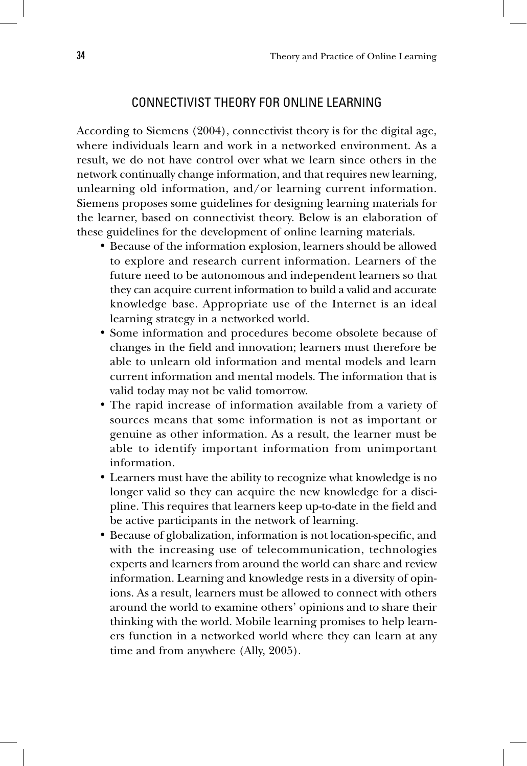## Connectivist Theory for Online Learning

According to Siemens (2004), connectivist theory is for the digital age, where individuals learn and work in a networked environment. As a result, we do not have control over what we learn since others in the network continually change information, and that requires new learning, unlearning old information, and/or learning current information. Siemens proposes some guidelines for designing learning materials for the learner, based on connectivist theory. Below is an elaboration of these guidelines for the development of online learning materials.

- Because of the information explosion, learners should be allowed to explore and research current information. Learners of the future need to be autonomous and independent learners so that they can acquire current information to build a valid and accurate knowledge base. Appropriate use of the Internet is an ideal learning strategy in a networked world.
- Some information and procedures become obsolete because of changes in the field and innovation; learners must therefore be able to unlearn old information and mental models and learn current information and mental models. The information that is valid today may not be valid tomorrow.
- The rapid increase of information available from a variety of sources means that some information is not as important or genuine as other information. As a result, the learner must be able to identify important information from unimportant information.
- Learners must have the ability to recognize what knowledge is no longer valid so they can acquire the new knowledge for a discipline. This requires that learners keep up-to-date in the field and be active participants in the network of learning.
- Because of globalization, information is not location-specific, and with the increasing use of telecommunication, technologies experts and learners from around the world can share and review information. Learning and knowledge rests in a diversity of opinions. As a result, learners must be allowed to connect with others around the world to examine others' opinions and to share their thinking with the world. Mobile learning promises to help learners function in a networked world where they can learn at any time and from anywhere (Ally, 2005).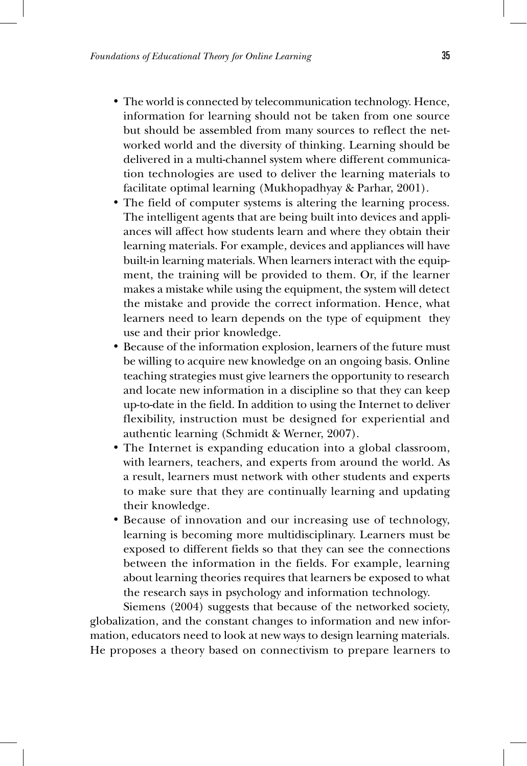- The world is connected by telecommunication technology. Hence, information for learning should not be taken from one source but should be assembled from many sources to reflect the networked world and the diversity of thinking. Learning should be delivered in a multi-channel system where different communication technologies are used to deliver the learning materials to facilitate optimal learning (Mukhopadhyay & Parhar, 2001).
- The field of computer systems is altering the learning process. The intelligent agents that are being built into devices and appliances will affect how students learn and where they obtain their learning materials. For example, devices and appliances will have built-in learning materials. When learners interact with the equipment, the training will be provided to them. Or, if the learner makes a mistake while using the equipment, the system will detect the mistake and provide the correct information. Hence, what learners need to learn depends on the type of equipment they use and their prior knowledge.
- Because of the information explosion, learners of the future must be willing to acquire new knowledge on an ongoing basis. Online teaching strategies must give learners the opportunity to research and locate new information in a discipline so that they can keep up-to-date in the field. In addition to using the Internet to deliver flexibility, instruction must be designed for experiential and authentic learning (Schmidt & Werner, 2007).
- The Internet is expanding education into a global classroom, with learners, teachers, and experts from around the world. As a result, learners must network with other students and experts to make sure that they are continually learning and updating their knowledge.
- Because of innovation and our increasing use of technology, learning is becoming more multidisciplinary. Learners must be exposed to different fields so that they can see the connections between the information in the fields. For example, learning about learning theories requires that learners be exposed to what the research says in psychology and information technology.

Siemens (2004) suggests that because of the networked society, globalization, and the constant changes to information and new information, educators need to look at new ways to design learning materials. He proposes a theory based on connectivism to prepare learners to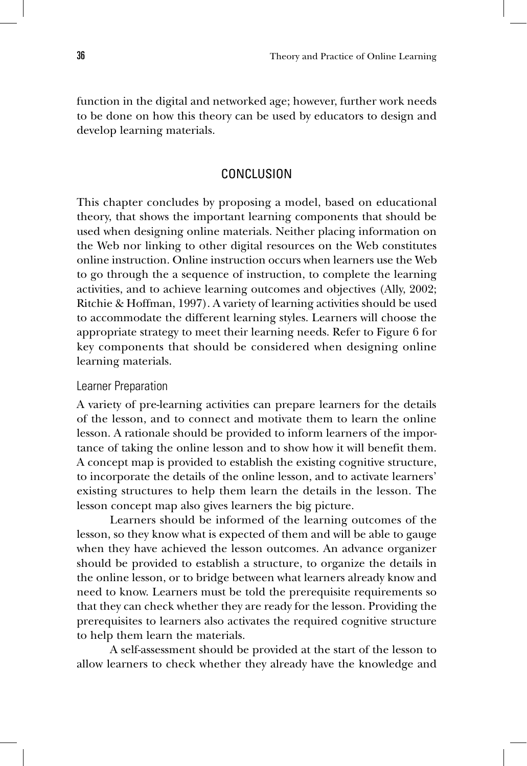function in the digital and networked age; however, further work needs to be done on how this theory can be used by educators to design and develop learning materials.

## Conclusion

This chapter concludes by proposing a model, based on educational theory, that shows the important learning components that should be used when designing online materials. Neither placing information on the Web nor linking to other digital resources on the Web constitutes online instruction. Online instruction occurs when learners use the Web to go through the a sequence of instruction, to complete the learning activities, and to achieve learning outcomes and objectives (Ally, 2002; Ritchie & Hoffman, 1997). A variety of learning activities should be used to accommodate the different learning styles. Learners will choose the appropriate strategy to meet their learning needs. Refer to Figure 6 for key components that should be considered when designing online learning materials.

#### Learner Preparation

A variety of pre-learning activities can prepare learners for the details of the lesson, and to connect and motivate them to learn the online lesson. A rationale should be provided to inform learners of the importance of taking the online lesson and to show how it will benefit them. A concept map is provided to establish the existing cognitive structure, to incorporate the details of the online lesson, and to activate learners' existing structures to help them learn the details in the lesson. The lesson concept map also gives learners the big picture.

Learners should be informed of the learning outcomes of the lesson, so they know what is expected of them and will be able to gauge when they have achieved the lesson outcomes. An advance organizer should be provided to establish a structure, to organize the details in the online lesson, or to bridge between what learners already know and need to know. Learners must be told the prerequisite requirements so that they can check whether they are ready for the lesson. Providing the prerequisites to learners also activates the required cognitive structure to help them learn the materials.

A self-assessment should be provided at the start of the lesson to allow learners to check whether they already have the knowledge and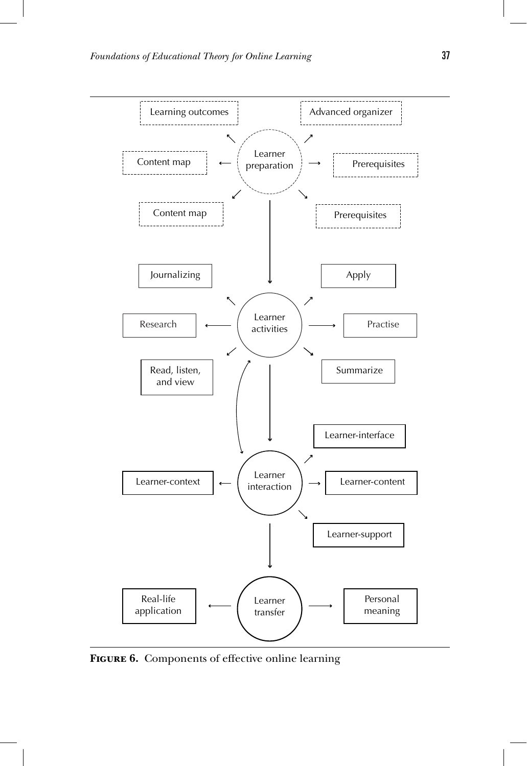

FIGURE 6. Components of effective online learning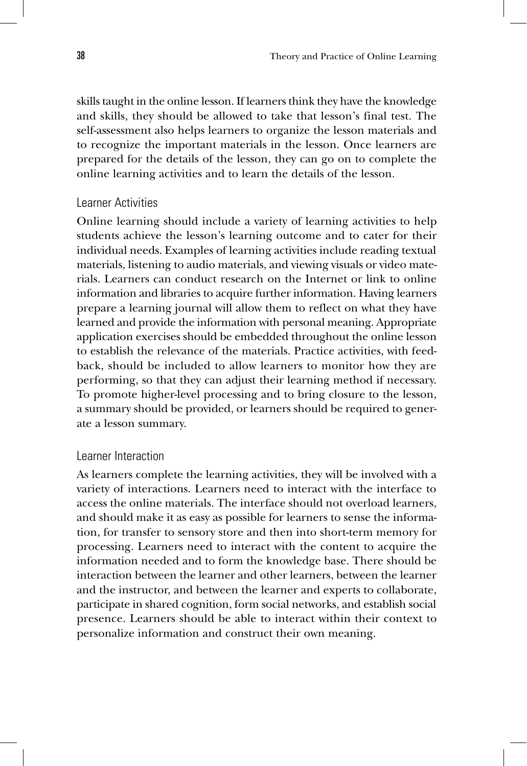skills taught in the online lesson. If learners think they have the knowledge and skills, they should be allowed to take that lesson's final test. The self-assessment also helps learners to organize the lesson materials and to recognize the important materials in the lesson. Once learners are prepared for the details of the lesson, they can go on to complete the online learning activities and to learn the details of the lesson.

#### Learner Activities

Online learning should include a variety of learning activities to help students achieve the lesson's learning outcome and to cater for their individual needs. Examples of learning activities include reading textual materials, listening to audio materials, and viewing visuals or video materials. Learners can conduct research on the Internet or link to online information and libraries to acquire further information. Having learners prepare a learning journal will allow them to reflect on what they have learned and provide the information with personal meaning. Appropriate application exercises should be embedded throughout the online lesson to establish the relevance of the materials. Practice activities, with feedback, should be included to allow learners to monitor how they are performing, so that they can adjust their learning method if necessary. To promote higher-level processing and to bring closure to the lesson, a summary should be provided, or learners should be required to generate a lesson summary.

#### Learner Interaction

As learners complete the learning activities, they will be involved with a variety of interactions. Learners need to interact with the interface to access the online materials. The interface should not overload learners, and should make it as easy as possible for learners to sense the information, for transfer to sensory store and then into short-term memory for processing. Learners need to interact with the content to acquire the information needed and to form the knowledge base. There should be interaction between the learner and other learners, between the learner and the instructor, and between the learner and experts to collaborate, participate in shared cognition, form social networks, and establish social presence. Learners should be able to interact within their context to personalize information and construct their own meaning.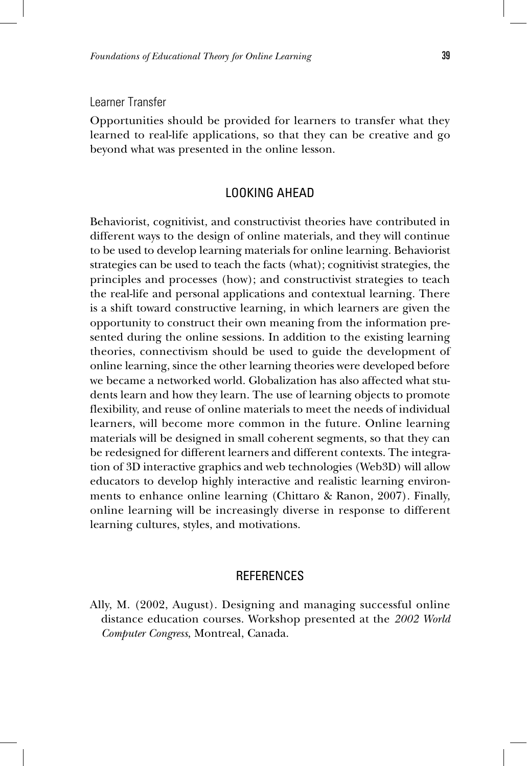## Learner Transfer

Opportunities should be provided for learners to transfer what they learned to real-life applications, so that they can be creative and go beyond what was presented in the online lesson.

## Looking Ahead

Behaviorist, cognitivist, and constructivist theories have contributed in different ways to the design of online materials, and they will continue to be used to develop learning materials for online learning. Behaviorist strategies can be used to teach the facts (what); cognitivist strategies, the principles and processes (how); and constructivist strategies to teach the real-life and personal applications and contextual learning. There is a shift toward constructive learning, in which learners are given the opportunity to construct their own meaning from the information presented during the online sessions. In addition to the existing learning theories, connectivism should be used to guide the development of online learning, since the other learning theories were developed before we became a networked world. Globalization has also affected what students learn and how they learn. The use of learning objects to promote flexibility, and reuse of online materials to meet the needs of individual learners, will become more common in the future. Online learning materials will be designed in small coherent segments, so that they can be redesigned for different learners and different contexts. The integration of 3D interactive graphics and web technologies (Web3D) will allow educators to develop highly interactive and realistic learning environments to enhance online learning (Chittaro & Ranon, 2007). Finally, online learning will be increasingly diverse in response to different learning cultures, styles, and motivations.

#### **REFERENCES**

Ally, M. (2002, August). Designing and managing successful online distance education courses. Workshop presented at the *2002 World Computer Congress*, Montreal, Canada.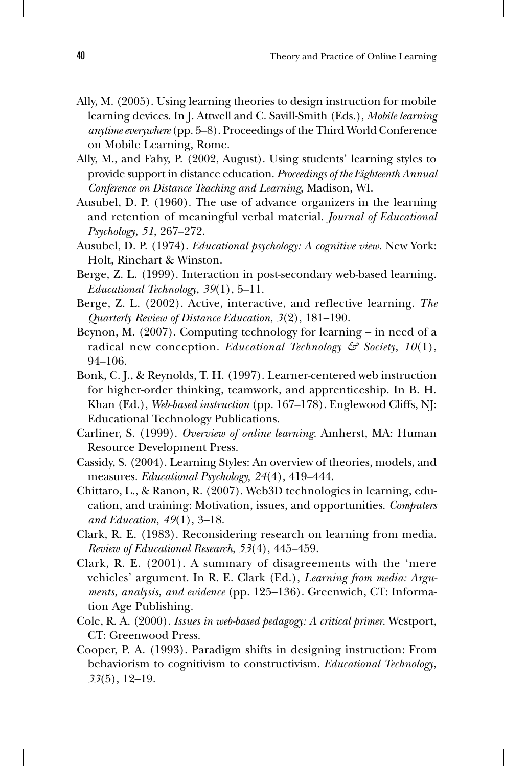- Ally, M. (2005). Using learning theories to design instruction for mobile learning devices. In J. Attwell and C. Savill-Smith (Eds.), *Mobile learning anytime everywhere* (pp. 5–8). Proceedings of the Third World Conference on Mobile Learning, Rome.
- Ally, M., and Fahy, P. (2002, August). Using students' learning styles to provide support in distance education. *Proceedings of the Eighteenth Annual Conference on Distance Teaching and Learning*, Madison, WI.
- Ausubel, D. P. (1960). The use of advance organizers in the learning and retention of meaningful verbal material. *Journal of Educational Psychology*, *51*, 267–272.
- Ausubel, D. P. (1974). *Educational psychology: A cognitive view*. New York: Holt, Rinehart & Winston.
- Berge, Z. L. (1999). Interaction in post-secondary web-based learning. *Educational Technology*, *39*(1), 5–11.
- Berge, Z. L. (2002). Active, interactive, and reflective learning. *The Quarterly Review of Distance Education*, *3*(2), 181–190.
- Beynon, M. (2007). Computing technology for learning in need of a radical new conception. *Educational Technology & Society*, *10*(1), 94–106.
- Bonk, C. J., & Reynolds, T. H. (1997). Learner-centered web instruction for higher-order thinking, teamwork, and apprenticeship. In B. H. Khan (Ed.), *Web-based instruction* (pp. 167–178). Englewood Cliffs, NJ: Educational Technology Publications.
- Carliner, S. (1999). *Overview of online learning*. Amherst, MA: Human Resource Development Press.
- Cassidy, S. (2004). Learning Styles: An overview of theories, models, and measures. *Educational Psychology, 24*(4), 419–444.
- Chittaro, L., & Ranon, R. (2007). Web3D technologies in learning, education, and training: Motivation, issues, and opportunities. *Computers and Education, 49*(1), 3–18.
- Clark, R. E. (1983). Reconsidering research on learning from media. *Review of Educational Research*, *53*(4), 445–459.
- Clark, R. E. (2001). A summary of disagreements with the 'mere vehicles' argument. In R. E. Clark (Ed.), *Learning from media: Arguments, analysis, and evidence* (pp. 125–136). Greenwich, CT: Information Age Publishing.
- Cole, R. A. (2000). *Issues in web-based pedagogy: A critical primer*. Westport, CT: Greenwood Press.
- Cooper, P. A. (1993). Paradigm shifts in designing instruction: From behaviorism to cognitivism to constructivism. *Educational Technology*, *33*(5), 12–19.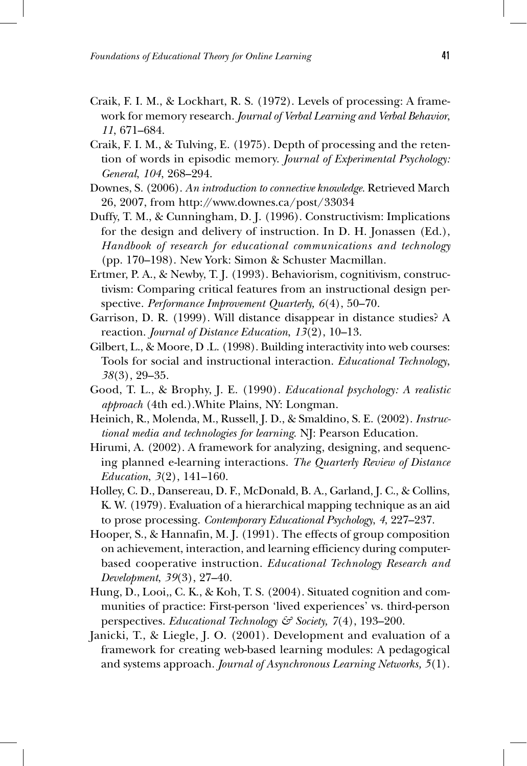- Craik, F. I. M., & Lockhart, R. S. (1972). Levels of processing: A framework for memory research. *Journal of Verbal Learning and Verbal Behavior*, *11*, 671–684.
- Craik, F. I. M., & Tulving, E. (1975). Depth of processing and the retention of words in episodic memory. *Journal of Experimental Psychology: General*, *104*, 268–294.
- Downes, S. (2006). *An introduction to connective knowledge.* Retrieved March 26, 2007, from http://www.downes.ca/post/33034
- Duffy, T. M., & Cunningham, D. J. (1996). Constructivism: Implications for the design and delivery of instruction. In D. H. Jonassen (Ed.), *Handbook of research for educational communications and technology* (pp. 170–198). New York: Simon & Schuster Macmillan.
- Ertmer, P. A., & Newby, T. J. (1993). Behaviorism, cognitivism, constructivism: Comparing critical features from an instructional design perspective. *Performance Improvement Quarterly, 6*(4), 50–70.
- Garrison, D. R. (1999). Will distance disappear in distance studies? A reaction. *Journal of Distance Education*, *13*(2), 10–13.
- Gilbert, L., & Moore, D .L. (1998). Building interactivity into web courses: Tools for social and instructional interaction. *Educational Technology*, *38*(3), 29–35.
- Good, T. L., & Brophy, J. E. (1990). *Educational psychology: A realistic approach* (4th ed.).White Plains, NY: Longman.
- Heinich, R., Molenda, M., Russell, J. D., & Smaldino, S. E. (2002). *Instructional media and technologies for learning*. NJ: Pearson Education.
- Hirumi, A. (2002). A framework for analyzing, designing, and sequencing planned e-learning interactions. *The Quarterly Review of Distance Education*, *3*(2), 141–160.
- Holley, C. D., Dansereau, D. F., McDonald, B. A., Garland, J. C., & Collins, K. W. (1979). Evaluation of a hierarchical mapping technique as an aid to prose processing. *Contemporary Educational Psychology*, *4*, 227–237.
- Hooper, S., & Hannafin, M. J. (1991). The effects of group composition on achievement, interaction, and learning efficiency during computerbased cooperative instruction. *Educational Technology Research and Development*, *39*(3), 27–40.
- Hung, D., Looi,, C. K., & Koh, T. S. (2004). Situated cognition and communities of practice: First-person 'lived experiences' vs. third-person perspectives. *Educational Technology & Society, 7*(4), 193–200.
- Janicki, T., & Liegle, J. O. (2001). Development and evaluation of a framework for creating web-based learning modules: A pedagogical and systems approach. *Journal of Asynchronous Learning Networks, 5*(1).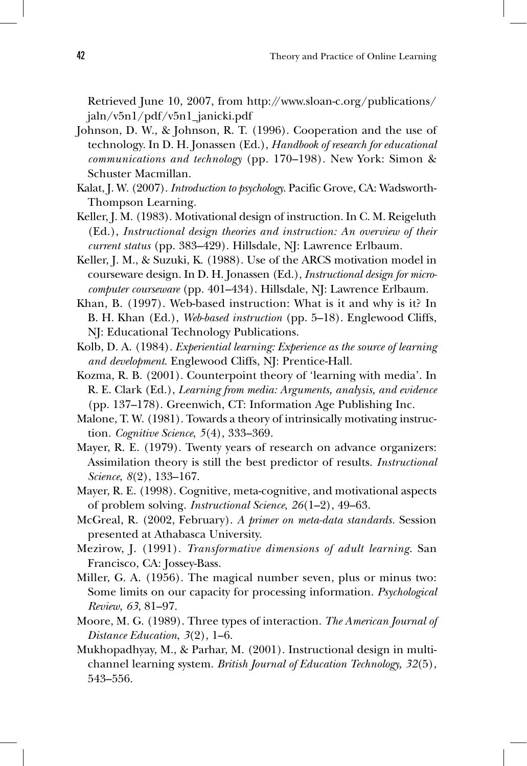Retrieved June 10, 2007, from http://www.sloan-c.org/publications/ jaln/v5n1/pdf/v5n1\_janicki.pdf

- Johnson, D. W., & Johnson, R. T. (1996). Cooperation and the use of technology. In D. H. Jonassen (Ed.), *Handbook of research for educational communications and technology* (pp. 170–198). New York: Simon & Schuster Macmillan.
- Kalat, J. W. (2007). *Introduction to psychology*. Pacific Grove, CA: Wadsworth-Thompson Learning.
- Keller, J. M. (1983). Motivational design of instruction. In C. M. Reigeluth (Ed.), *Instructional design theories and instruction: An overview of their current status* (pp. 383–429). Hillsdale, NJ: Lawrence Erlbaum.
- Keller, J. M., & Suzuki, K. (1988). Use of the ARCS motivation model in courseware design. In D. H. Jonassen (Ed.), *Instructional design for microcomputer courseware* (pp. 401–434). Hillsdale, NJ: Lawrence Erlbaum.
- Khan, B. (1997). Web-based instruction: What is it and why is it? In B. H. Khan (Ed.), *Web-based instruction* (pp. 5–18). Englewood Cliffs, NJ: Educational Technology Publications.
- Kolb, D. A. (1984). *Experiential learning: Experience as the source of learning and development*. Englewood Cliffs, NJ: Prentice-Hall.
- Kozma, R. B. (2001). Counterpoint theory of 'learning with media'. In R. E. Clark (Ed.), *Learning from media: Arguments, analysis, and evidence* (pp. 137–178). Greenwich, CT: Information Age Publishing Inc.
- Malone, T. W. (1981). Towards a theory of intrinsically motivating instruction. *Cognitive Science*, *5*(4), 333–369.
- Mayer, R. E. (1979). Twenty years of research on advance organizers: Assimilation theory is still the best predictor of results. *Instructional Science*, *8*(2), 133–167.
- Mayer, R. E. (1998). Cognitive, meta-cognitive, and motivational aspects of problem solving. *Instructional Science*, *26*(1–2), 49–63.
- McGreal, R. (2002, February). *A primer on meta-data standards.* Session presented at Athabasca University.
- Mezirow, J. (1991). *Transformative dimensions of adult learning*. San Francisco, CA: Jossey-Bass.
- Miller, G. A. (1956). The magical number seven, plus or minus two: Some limits on our capacity for processing information. *Psychological Review*, *63*, 81–97.
- Moore, M. G. (1989). Three types of interaction. *The American Journal of Distance Education*, *3*(2), 1–6.
- Mukhopadhyay, M., & Parhar, M. (2001). Instructional design in multichannel learning system. *British Journal of Education Technology, 32*(5), 543–556.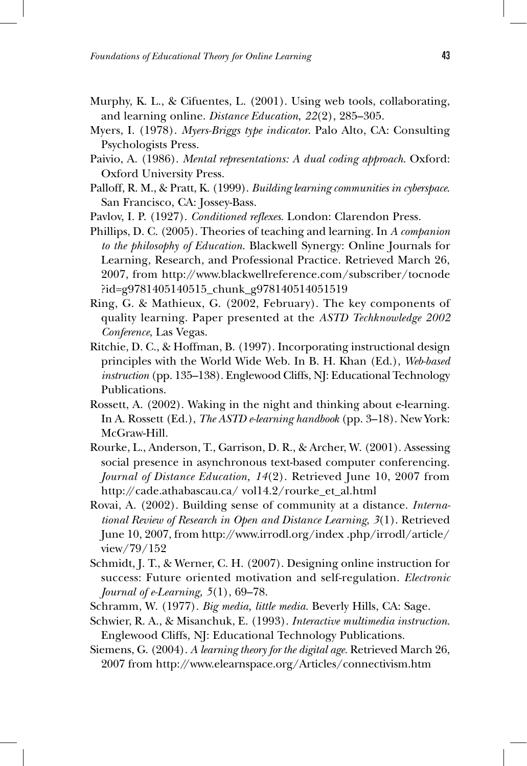- Murphy, K. L., & Cifuentes, L. (2001). Using web tools, collaborating, and learning online. *Distance Education*, *22*(2), 285–305.
- Myers, I. (1978). *Myers-Briggs type indicator*. Palo Alto, CA: Consulting Psychologists Press.
- Paivio, A. (1986). *Mental representations: A dual coding approach*. Oxford: Oxford University Press.
- Palloff, R. M., & Pratt, K. (1999). *Building learning communities in cyberspace*. San Francisco, CA: Jossey-Bass.
- Pavlov, I. P. (1927). *Conditioned reflexes*. London: Clarendon Press.
- Phillips, D. C. (2005). Theories of teaching and learning. In *A companion to the philosophy of Education*. Blackwell Synergy: Online Journals for Learning, Research, and Professional Practice. Retrieved March 26, 2007, from http://www.blackwellreference.com/subscriber/tocnode ?id=g9781405140515\_chunk\_g978140514051519
- Ring, G. & Mathieux, G. (2002, February). The key components of quality learning. Paper presented at the *ASTD Techknowledge 2002 Conference*, Las Vegas.
- Ritchie, D. C., & Hoffman, B. (1997). Incorporating instructional design principles with the World Wide Web. In B. H. Khan (Ed.), *Web-based instruction* (pp. 135–138). Englewood Cliffs, NJ: Educational Technology Publications.
- Rossett, A. (2002). Waking in the night and thinking about e-learning. In A. Rossett (Ed.), *The ASTD e-learning handbook* (pp. 3–18). New York: McGraw-Hill.
- Rourke, L., Anderson, T., Garrison, D. R., & Archer, W. (2001). Assessing social presence in asynchronous text-based computer conferencing. *Journal of Distance Education, 14*(2). Retrieved June 10, 2007 from http://cade.athabascau.ca/ vol14.2/rourke\_et\_al.html
- Rovai, A. (2002). Building sense of community at a distance. *International Review of Research in Open and Distance Learning*, *3*(1). Retrieved June 10, 2007, from http://www.irrodl.org/index .php/irrodl/article/ view/79/152
- Schmidt, J. T., & Werner, C. H. (2007). Designing online instruction for success: Future oriented motivation and self-regulation. *Electronic Journal of e-Learning, 5*(1), 69–78.
- Schramm, W. (1977). *Big media, little media.* Beverly Hills, CA: Sage.
- Schwier, R. A., & Misanchuk, E. (1993). *Interactive multimedia instruction*. Englewood Cliffs, NJ: Educational Technology Publications.
- Siemens, G. (2004). *A learning theory for the digital age.* Retrieved March 26, 2007 from http://www.elearnspace.org/Articles/connectivism.htm